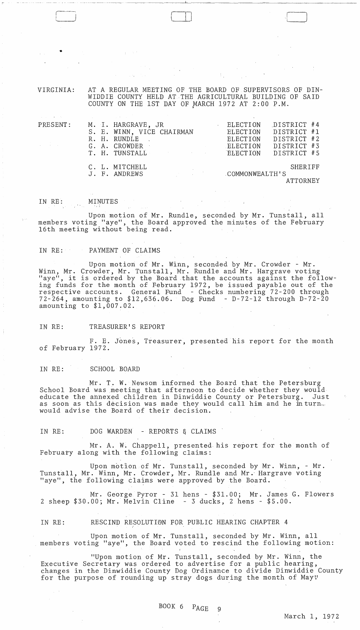VIRGINIA: AT A REGULAR MEETING OF THE BOARD OF SUPERVISORS OF DIN-WIDDIE COUNTY HELD AT THE AGRICULTURAL BUILDING OF SAID COUNTY ON THE 1ST DAY OF MARCH 1972 AT 2:00 P.M.

 $\Box$ 

| PRESENT:<br>$\label{eq:2.1} \mathcal{A}(\mathcal{A}) = \mathcal{A}(\mathcal{A}) = \mathcal{A}(\mathcal{A}) = \mathcal{A}(\mathcal{A})$ |  | M. I. HARGRAVE, JR BLECTION<br>S. E. WINN, VICE CHAIRMAN ELECTION<br>R. H. RUNDLE<br>G. A. CROWDER<br>the contract of the contract of the contract of<br>T. H. TUNSTALL BEECTION DISTRICT #5 | ELECTION<br>ELECTION | DISTRICT #4<br>DISTRICT #1<br>DISTRICT #2<br>DISTRICT #3 |
|----------------------------------------------------------------------------------------------------------------------------------------|--|----------------------------------------------------------------------------------------------------------------------------------------------------------------------------------------------|----------------------|----------------------------------------------------------|
|                                                                                                                                        |  | C. L. MITCHELL<br>J. F. ANDREWS                                                                                                                                                              | COMMONWEALTH'S       | SHERIFF<br>ATTORNEY                                      |

#### IN RE: MINUTES

•

Upon motion of Mr. Rundle, seconded by Mr. Tunstall, all members voting "aye", the Board approved the minutes of the February 16th meeting without being read.

#### IN RE: PAYMENT OF CLAIMS

Upon motion of Mr. Winn, seconded by Mr. Crowder - Mr. Winn, Mr. Crowder, Mr. Tunstall, Mr. Rundle and Mr. Hargrave voting "aye", it is ordered by the Board that the accounts against the following funds for the month of February 1972, be issued payable out of the respective accounts. General Fund - Checks numbering 72-200 through 72-264, amounting to \$12,636.06. Dog Fund - D-72-l2 through D-72-20 amounting to \$1,007.02.

# IN RE: TREASURER'S REPORT

F. E. Jones, Treasurer, presented his report for the month of February 1972.

#### IN RE: SCHOOL BOARD

 $\sim$ 

Mr. T. W. Newsom informed the Board that the Petersburg School Board was meeting that afternoon to decide whether they would<br>educate the annexed children in Dinwiddie County or Petersburg. Just educate the annexed children in Dinwiddie County or Petersburg. as soon as this decision was made they would call him and he inturn $\mathbb{R}^n$ would advise the Board of their decision.

IN RE: DOG WARDEN - REPORTS & CLAIMS

Mr. A. W. Chappell, presented his report for the month of February along with the following claims:

Upon motion of Mr. Tunstall, seconded by Mr. Winn, - Mr. Tunstall, Mr. Winn, Mr. Crowder, Mr. Rundle and Mr. Hargrave voting "aye", the following claims were approved by the Board.

Mr. George Pyror - 31 hens - \$31.00; Mr. James G. Flowers 2 sheep \$30.00; Mr. Melvin Cline - 3 ducks, 2 hens - \$5.00.

IN RE: RESCIND RESOLUTIDN FOR PUBLIC HEARING CHAPTER 4

Upon motion of Mr. Tunstall, seconded by Mr. Winn, all members voting "aye", the Board voted to rescind the following motion:

"Upon motion of Mr. Tunstall, seconded by Mr. Winn, the Executive Secretary was ordered to advertise for a public hearing, changes in the Dinwiddie County Dog Ordinance to divide Dinwiddie County for the purpose of rounding up stray dogs during the month of May"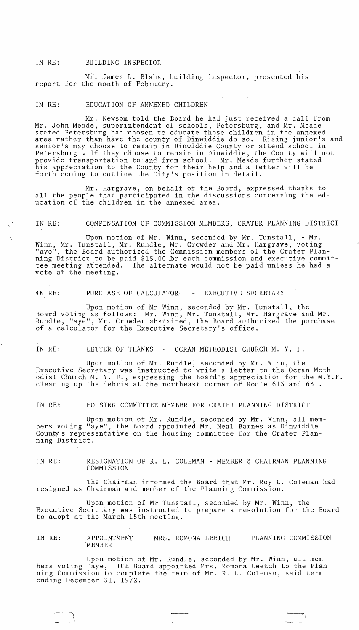### IN RE: BUILDING INSPECTOR

Mr. James L. Blaha, building inspector, presented his report for the month of February.

## IN RE: EDUCATION OF ANNEXED CHILDREN

Mr. Newsom told the Board he had just received a call from Mr. John Meade, superintendent of schools, Petersburg, and Mr. Meade stated Petersburg had chosen to educate those children in the annexed area rather than have the county of Dinwiddie do so. Rising junior's and senior's may choose to remain in Dinwiddie County or attend school in Petersburg. If they choose to remain in Dinwiddie, the County will not provide transportation to and from school. Mr. Meade further stated his appreciation to the County for their help and a letter will be forth coming to outline the City's position in detail.

Mr. Hargrave, on behalf of the Board, expressed thanks to all the people that participated in the discussions concerning the education of the children in the annexed area.

## IN RE: COMPENSATION OF COMMISSION MEMBERS, CRATER PLANNING DISTRICT

Upon motion of Mr. Winn, seconded by Mr. Tunstall, - Mr. Winn, Mr. Tunstall, Mr. Rundle, Mr. Crowder and Mr. Hargrave, voting "aye", the Board authorized the Commission members of the Crater Planning District to be paid \$15.00 for each commission and executive committee meeting attended. The alternate would not be paid unless he had a vote at the meeting.

#### IN RE: PURCHASE OF CALCULATOR - EXECUTIVE SECRETARY

Upon motion of Mr Winn, seconded by Mr. Tunstall, the Board voting as follows: Mr. Winn, Mr. Tunstall, Mr. Hargrave and Mr. Rundle, "aye", Mr. Crowder abstained, the Board authorized the purchase of a calculator for the Executive Secretary's office.

IN RE: LETTER OF THANKS - OCRAN METHODIST CHURCH M. Y. F.

Upon motion of Mr. Rundle, seconded by Mr. Winn, the Executive Secretary was instructed to write a letter to the Ocran Methodist Church M. Y. F., expressing the Board's appreciation for the M.Y.F. cleaning up the debris at the northeast corner of Route 613 and 631.

IN RE: HOUSING COMMITTEE MEMBER FOR CRATER PLANNING DISTRICT

Upon motion of Mr. Rundle, seconded by Mr. Winn, all members voting "aye", the Board appointed Mr. Neal Barnes as Dinwiddie County's representative on the housing committee for the Crater Planning District.

IN- RE: RESIGNATION OF R. L. COLEMAN - MEMBER & CHAIRMAN PLANNING COMMISSION

The Chairman informed the Board that Mr. Roy L. Coleman had resigned as Chairman and member of the Planning Commission.

Upon motion of Mr Tunstall, seconded by Mr. Winn, the Executive Secretary was instructed to prepare a resolution for the Board to adopt at the March 15th meeting.

IN RE: APPOINTMENT MEMBER - MRS. ROMONA LEETCH - PLANNING COMMISSION

Upon motion of Mr. Rundle, seconded by Mr. Winn, all members voting "aye", THE Board appointed Mrs. Romona Leetch to the Planning Commission to complete the term of Mr. R. L. Coleman, said term ending December 31, 1972.

~--"-,

.~

 $\overline{\phantom{a}}$ I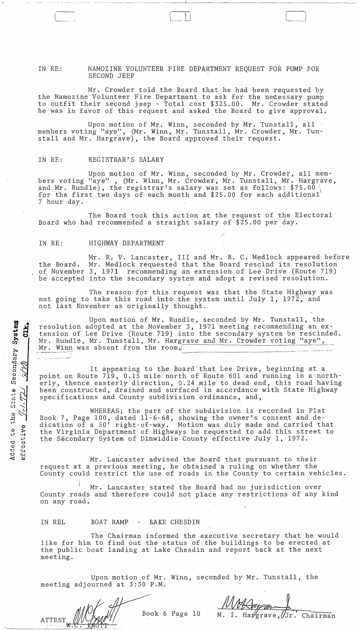#### IN RE: NAMOZINE VOLUNTEER FIRE DEPARTMENT REQUEST FOR PUMP FOR SECOND JEEP

----- - -------- ~----- -~------~ ~ ------~~----~-~-~-~----- -~--.

 $\Box$ 

Mr. Crowder told the Board that he had been requested by the Namozine Volunteer Fire Department to ask for the necessary pump to outfit their second jeep - Total cost \$325.00. Mr. Crowder stated he was in favor of this request and asked the Board to give approval.

Upon motion of Mr. Winn, seconded by Mr. Tunstall, all members voting "aye", (Mr. Winn, Mr. Tunstall, Mr. Crowder, Mr. Tunstall and Mr. Hargrave), the Board approved their request.

## IN RE: REGISTRAR'S SALARY

 $\begin{array}{c} \begin{array}{c} \end{array} \end{array}$ 

Upon motion of Mr. Winn, seconded by Mr. Crowder, all members voting "aye"', (Mr. Winn, Mr. Crowder, Mr. Tunstall, Mr. Hargrave, and Mr. Rundle), the registrar's salary was set as follows: \$75.00 for the first two days of each month and \$25.00 for each additional' 7 hour day.

The Board took this action at the request of the Electoral Board who had recommended a straight salary of \$25.00 per day.

#### IN RE: HIGHWAY DEPARTMENT

the Board. of November 3, 1971 recommending an extension of Lee Drive (Route 719) be accepted into the secondary system and adopt a revised resolution. Mr. R. V. Lancaster, III and Mr. B. C. Medlock appeared before Mr. Medlock requested that the Board rescind its resolution

The reason for this request was that the State Highway was not going to take this road into the system until July 1, 1972, and not last November as originally thought.

Upon motion of Mr. Rundle, seconded by Mr. Tunstall, the resolution adopted at the November 3, 1971 meeting recommending an extension of Lee Drive (Route 719) into the secondary system be rescinded. Mr. Rundle, Mr. Tunstall, Mr. Hargrave and Mr. Crowder voting "aye", Mr. Winn was absent from the room.

It appearing to the Board'that Lee Drive, beginning at a point on Route 719, 0.15 mile north of Route 601 and running in a northerly, thence easterly direction, 0.24 mile to dead end, this road having been constructed, drained and surfaced in accordance with State Highway specifications and County subdivision ordinance, and,

WHEREAS; the part of the subdivision is recorded in Plat Book 7, Page 100, dated 11-6-68, showing the owner's consent and dedication of a 50' right-of-wiy. Motion was duly made and carried that the Virginia Department of Highways he requested to add this street to the Secondary System of Dinwiddie County effective July 1, 1972.

Mr. Lancaster advised the Board that pursuant to their request at a previous meeting, he obtained a'ruling on whether the County could restrict the use of roads in the County to certain vehicles.

Mr. Lancaster stated the Board had no jurisdiction over County roads and therefore could not place any restrictions of any kind on any road.

IN REL 300 BOAT RAMP - EAKE CHESDIN

The Chairman informed the executive secretary that he would like for him to find out the status of the buildings to be erected at the public boat landing at Lake Chesdin and report back at the next meeting.

Upon motion of Mr. Winn, seconded by Mr. Tunstall, the meeting adjourned at 3:30 P.M.

Book 6 Page 10

Chairman

 $CLK<sub>o</sub>$ 0 0 :> {..> .;of o{~J Added<br>erroe